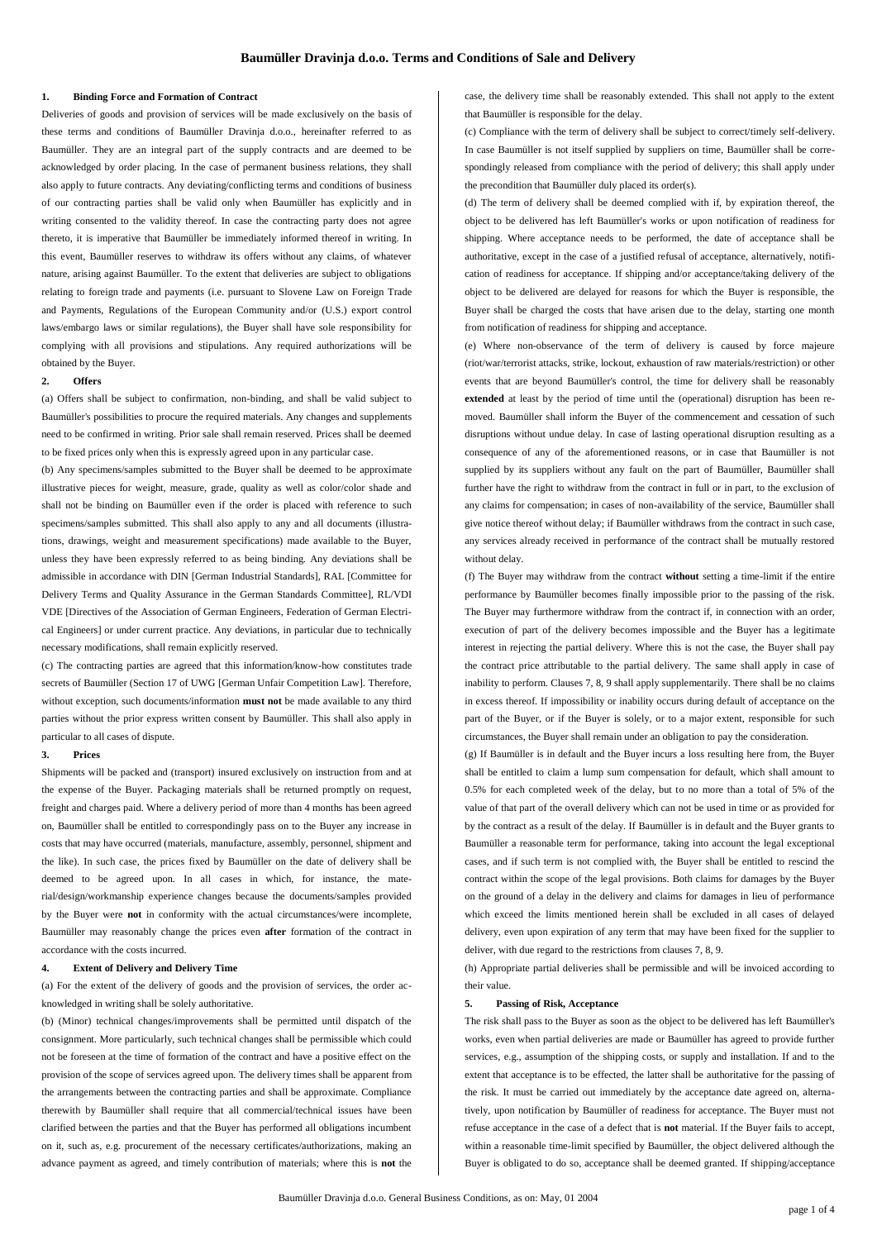#### **1. Binding Force and Formation of Contract**

Deliveries of goods and provision of services will be made exclusively on the basis of these terms and conditions of Baumüller Dravinja d.o.o., hereinafter referred to as Baumüller. They are an integral part of the supply contracts and are deemed to be acknowledged by order placing. In the case of permanent business relations, they shall also apply to future contracts. Any deviating/conflicting terms and conditions of business of our contracting parties shall be valid only when Baumüller has explicitly and in writing consented to the validity thereof. In case the contracting party does not agree thereto, it is imperative that Baumüller be immediately informed thereof in writing. In this event, Baumüller reserves to withdraw its offers without any claims, of whatever nature, arising against Baumüller. To the extent that deliveries are subject to obligations relating to foreign trade and payments (i.e. pursuant to Slovene Law on Foreign Trade and Payments, Regulations of the European Community and/or (U.S.) export control laws/embargo laws or similar regulations), the Buyer shall have sole responsibility for complying with all provisions and stipulations. Any required authorizations will be obtained by the Buyer.

## **2. Offers**

(a) Offers shall be subject to confirmation, non-binding, and shall be valid subject to Baumüller's possibilities to procure the required materials. Any changes and supplements need to be confirmed in writing. Prior sale shall remain reserved. Prices shall be deemed to be fixed prices only when this is expressly agreed upon in any particular case.

(b) Any specimens/samples submitted to the Buyer shall be deemed to be approximate illustrative pieces for weight, measure, grade, quality as well as color/color shade and shall not be binding on Baumüller even if the order is placed with reference to such specimens/samples submitted. This shall also apply to any and all documents (illustrations, drawings, weight and measurement specifications) made available to the Buyer, unless they have been expressly referred to as being binding. Any deviations shall be admissible in accordance with DIN [German Industrial Standards], RAL [Committee for Delivery Terms and Quality Assurance in the German Standards Committee], RL/VDI VDE [Directives of the Association of German Engineers, Federation of German Electrical Engineers] or under current practice. Any deviations, in particular due to technically necessary modifications, shall remain explicitly reserved.

(c) The contracting parties are agreed that this information/know-how constitutes trade secrets of Baumüller (Section 17 of UWG [German Unfair Competition Law]. Therefore, without exception, such documents/information **must not** be made available to any third parties without the prior express written consent by Baumüller. This shall also apply in particular to all cases of dispute.

#### **3. Prices**

Shipments will be packed and (transport) insured exclusively on instruction from and at the expense of the Buyer. Packaging materials shall be returned promptly on request, freight and charges paid. Where a delivery period of more than 4 months has been agreed on, Baumüller shall be entitled to correspondingly pass on to the Buyer any increase in costs that may have occurred (materials, manufacture, assembly, personnel, shipment and the like). In such case, the prices fixed by Baumüller on the date of delivery shall be deemed to be agreed upon. In all cases in which, for instance, the material/design/workmanship experience changes because the documents/samples provided by the Buyer were **not** in conformity with the actual circumstances/were incomplete, Baumüller may reasonably change the prices even **after** formation of the contract in accordance with the costs incurred.

#### **4. Extent of Delivery and Delivery Time**

(a) For the extent of the delivery of goods and the provision of services, the order acknowledged in writing shall be solely authoritative.

(b) (Minor) technical changes/improvements shall be permitted until dispatch of the consignment. More particularly, such technical changes shall be permissible which could not be foreseen at the time of formation of the contract and have a positive effect on the provision of the scope of services agreed upon. The delivery times shall be apparent from the arrangements between the contracting parties and shall be approximate. Compliance therewith by Baumüller shall require that all commercial/technical issues have been clarified between the parties and that the Buyer has performed all obligations incumbent on it, such as, e.g. procurement of the necessary certificates/authorizations, making an advance payment as agreed, and timely contribution of materials; where this is **not** the

case, the delivery time shall be reasonably extended. This shall not apply to the extent that Baumüller is responsible for the delay.

(c) Compliance with the term of delivery shall be subject to correct/timely self-delivery. In case Baumüller is not itself supplied by suppliers on time, Baumüller shall be correspondingly released from compliance with the period of delivery; this shall apply under the precondition that Baumüller duly placed its order(s).

(d) The term of delivery shall be deemed complied with if, by expiration thereof, the object to be delivered has left Baumüller's works or upon notification of readiness for shipping. Where acceptance needs to be performed, the date of acceptance shall be authoritative, except in the case of a justified refusal of acceptance, alternatively, notification of readiness for acceptance. If shipping and/or acceptance/taking delivery of the object to be delivered are delayed for reasons for which the Buyer is responsible, the Buyer shall be charged the costs that have arisen due to the delay, starting one month from notification of readiness for shipping and acceptance.

(e) Where non-observance of the term of delivery is caused by force majeure (riot/war/terrorist attacks, strike, lockout, exhaustion of raw materials/restriction) or other events that are beyond Baumüller's control, the time for delivery shall be reasonably **extended** at least by the period of time until the (operational) disruption has been removed. Baumüller shall inform the Buyer of the commencement and cessation of such disruptions without undue delay. In case of lasting operational disruption resulting as a consequence of any of the aforementioned reasons, or in case that Baumüller is not supplied by its suppliers without any fault on the part of Baumüller, Baumüller shall further have the right to withdraw from the contract in full or in part, to the exclusion of any claims for compensation; in cases of non-availability of the service, Baumüller shall give notice thereof without delay; if Baumüller withdraws from the contract in such case, any services already received in performance of the contract shall be mutually restored without delay.

(f) The Buyer may withdraw from the contract **without** setting a time-limit if the entire performance by Baumüller becomes finally impossible prior to the passing of the risk. The Buyer may furthermore withdraw from the contract if, in connection with an order, execution of part of the delivery becomes impossible and the Buyer has a legitimate interest in rejecting the partial delivery. Where this is not the case, the Buyer shall pay the contract price attributable to the partial delivery. The same shall apply in case of inability to perform. Clauses 7, 8, 9 shall apply supplementarily. There shall be no claims in excess thereof. If impossibility or inability occurs during default of acceptance on the part of the Buyer, or if the Buyer is solely, or to a major extent, responsible for such circumstances, the Buyer shall remain under an obligation to pay the consideration.

(g) If Baumüller is in default and the Buyer incurs a loss resulting here from, the Buyer shall be entitled to claim a lump sum compensation for default, which shall amount to 0.5% for each completed week of the delay, but to no more than a total of 5% of the value of that part of the overall delivery which can not be used in time or as provided for by the contract as a result of the delay. If Baumüller is in default and the Buyer grants to Baumüller a reasonable term for performance, taking into account the legal exceptional cases, and if such term is not complied with, the Buyer shall be entitled to rescind the contract within the scope of the legal provisions. Both claims for damages by the Buyer on the ground of a delay in the delivery and claims for damages in lieu of performance which exceed the limits mentioned herein shall be excluded in all cases of delayed delivery, even upon expiration of any term that may have been fixed for the supplier to deliver, with due regard to the restrictions from clauses 7, 8, 9.

(h) Appropriate partial deliveries shall be permissible and will be invoiced according to their value.

### **5. Passing of Risk, Acceptance**

The risk shall pass to the Buyer as soon as the object to be delivered has left Baumüller's works, even when partial deliveries are made or Baumüller has agreed to provide further services, e.g., assumption of the shipping costs, or supply and installation. If and to the extent that acceptance is to be effected, the latter shall be authoritative for the passing of the risk. It must be carried out immediately by the acceptance date agreed on, alternatively, upon notification by Baumüller of readiness for acceptance. The Buyer must not refuse acceptance in the case of a defect that is **not** material. If the Buyer fails to accept, within a reasonable time-limit specified by Baumüller, the object delivered although the Buyer is obligated to do so, acceptance shall be deemed granted. If shipping/acceptance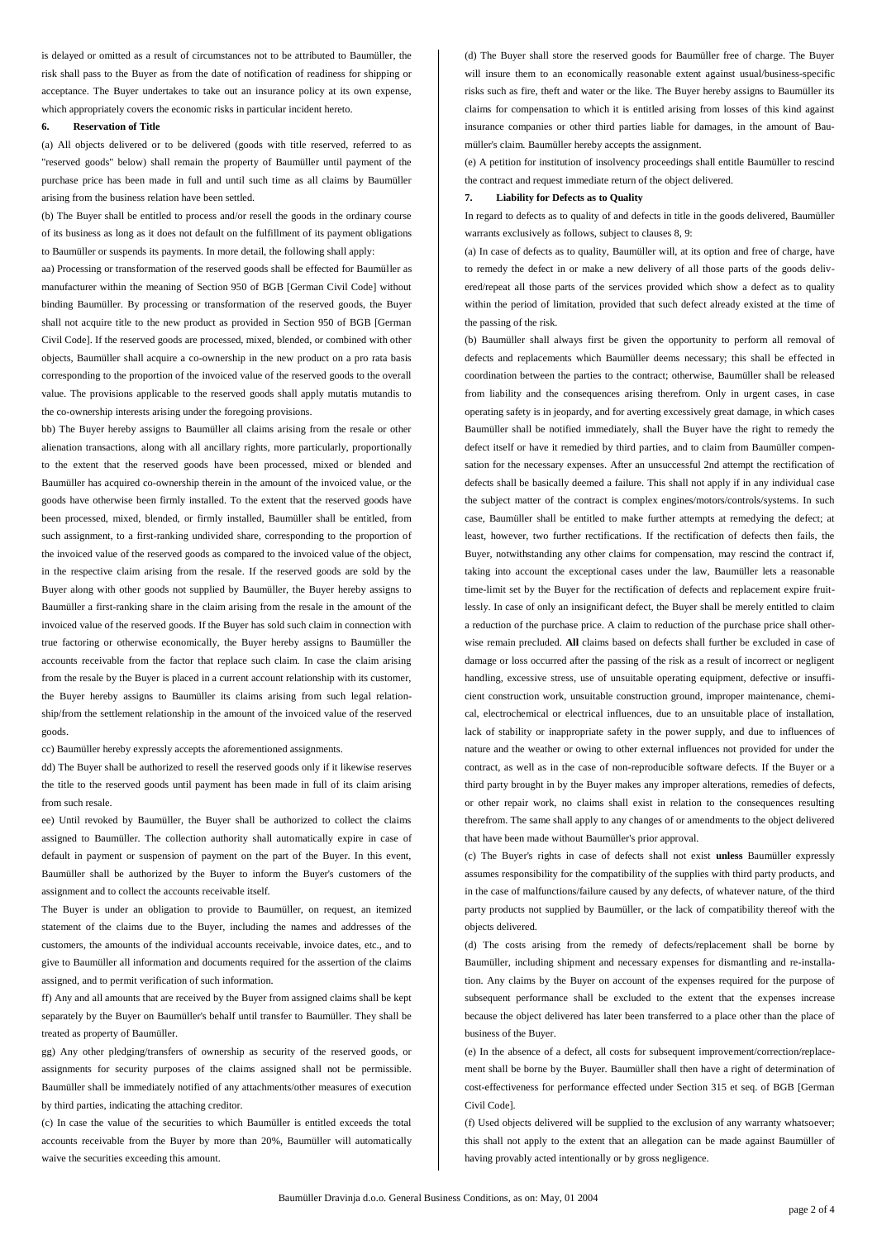is delayed or omitted as a result of circumstances not to be attributed to Baumüller, the risk shall pass to the Buyer as from the date of notification of readiness for shipping or acceptance. The Buyer undertakes to take out an insurance policy at its own expense, which appropriately covers the economic risks in particular incident hereto.

### **6. Reservation of Title**

(a) All objects delivered or to be delivered (goods with title reserved, referred to as "reserved goods" below) shall remain the property of Baumüller until payment of the purchase price has been made in full and until such time as all claims by Baumüller arising from the business relation have been settled.

(b) The Buyer shall be entitled to process and/or resell the goods in the ordinary course of its business as long as it does not default on the fulfillment of its payment obligations to Baumüller or suspends its payments. In more detail, the following shall apply:

aa) Processing or transformation of the reserved goods shall be effected for Baumüller as manufacturer within the meaning of Section 950 of BGB [German Civil Code] without binding Baumüller. By processing or transformation of the reserved goods, the Buyer shall not acquire title to the new product as provided in Section 950 of BGB [German Civil Code]. If the reserved goods are processed, mixed, blended, or combined with other objects, Baumüller shall acquire a co-ownership in the new product on a pro rata basis corresponding to the proportion of the invoiced value of the reserved goods to the overall value. The provisions applicable to the reserved goods shall apply mutatis mutandis to the co-ownership interests arising under the foregoing provisions.

bb) The Buyer hereby assigns to Baumüller all claims arising from the resale or other alienation transactions, along with all ancillary rights, more particularly, proportionally to the extent that the reserved goods have been processed, mixed or blended and Baumüller has acquired co-ownership therein in the amount of the invoiced value, or the goods have otherwise been firmly installed. To the extent that the reserved goods have been processed, mixed, blended, or firmly installed, Baumüller shall be entitled, from such assignment, to a first-ranking undivided share, corresponding to the proportion of the invoiced value of the reserved goods as compared to the invoiced value of the object, in the respective claim arising from the resale. If the reserved goods are sold by the Buyer along with other goods not supplied by Baumüller, the Buyer hereby assigns to Baumüller a first-ranking share in the claim arising from the resale in the amount of the invoiced value of the reserved goods. If the Buyer has sold such claim in connection with true factoring or otherwise economically, the Buyer hereby assigns to Baumüller the accounts receivable from the factor that replace such claim. In case the claim arising from the resale by the Buyer is placed in a current account relationship with its customer, the Buyer hereby assigns to Baumüller its claims arising from such legal relationship/from the settlement relationship in the amount of the invoiced value of the reserved goods.

cc) Baumüller hereby expressly accepts the aforementioned assignments.

dd) The Buyer shall be authorized to resell the reserved goods only if it likewise reserves the title to the reserved goods until payment has been made in full of its claim arising from such resale.

ee) Until revoked by Baumüller, the Buyer shall be authorized to collect the claims assigned to Baumüller. The collection authority shall automatically expire in case of default in payment or suspension of payment on the part of the Buyer. In this event, Baumüller shall be authorized by the Buyer to inform the Buyer's customers of the assignment and to collect the accounts receivable itself.

The Buyer is under an obligation to provide to Baumüller, on request, an itemized statement of the claims due to the Buyer, including the names and addresses of the customers, the amounts of the individual accounts receivable, invoice dates, etc., and to give to Baumüller all information and documents required for the assertion of the claims assigned, and to permit verification of such information.

ff) Any and all amounts that are received by the Buyer from assigned claims shall be kept separately by the Buyer on Baumüller's behalf until transfer to Baumüller. They shall be treated as property of Baumüller.

gg) Any other pledging/transfers of ownership as security of the reserved goods, or assignments for security purposes of the claims assigned shall not be permissible. Baumüller shall be immediately notified of any attachments/other measures of execution by third parties, indicating the attaching creditor.

(c) In case the value of the securities to which Baumüller is entitled exceeds the total accounts receivable from the Buyer by more than 20%, Baumüller will automatically waive the securities exceeding this amount.

(d) The Buyer shall store the reserved goods for Baumüller free of charge. The Buyer will insure them to an economically reasonable extent against usual/business-specific risks such as fire, theft and water or the like. The Buyer hereby assigns to Baumüller its claims for compensation to which it is entitled arising from losses of this kind against insurance companies or other third parties liable for damages, in the amount of Baumüller's claim. Baumüller hereby accepts the assignment.

(e) A petition for institution of insolvency proceedings shall entitle Baumüller to rescind the contract and request immediate return of the object delivered.

### **7. Liability for Defects as to Quality**

In regard to defects as to quality of and defects in title in the goods delivered, Baumüller warrants exclusively as follows, subject to clauses 8, 9:

(a) In case of defects as to quality, Baumüller will, at its option and free of charge, have to remedy the defect in or make a new delivery of all those parts of the goods delivered/repeat all those parts of the services provided which show a defect as to quality within the period of limitation, provided that such defect already existed at the time of the passing of the risk.

(b) Baumüller shall always first be given the opportunity to perform all removal of defects and replacements which Baumüller deems necessary; this shall be effected in coordination between the parties to the contract; otherwise, Baumüller shall be released from liability and the consequences arising therefrom. Only in urgent cases, in case operating safety is in jeopardy, and for averting excessively great damage, in which cases Baumüller shall be notified immediately, shall the Buyer have the right to remedy the defect itself or have it remedied by third parties, and to claim from Baumüller compensation for the necessary expenses. After an unsuccessful 2nd attempt the rectification of defects shall be basically deemed a failure. This shall not apply if in any individual case the subject matter of the contract is complex engines/motors/controls/systems. In such case, Baumüller shall be entitled to make further attempts at remedying the defect; at least, however, two further rectifications. If the rectification of defects then fails, the Buyer, notwithstanding any other claims for compensation, may rescind the contract if, taking into account the exceptional cases under the law, Baumüller lets a reasonable time-limit set by the Buyer for the rectification of defects and replacement expire fruitlessly. In case of only an insignificant defect, the Buyer shall be merely entitled to claim a reduction of the purchase price. A claim to reduction of the purchase price shall otherwise remain precluded. **All** claims based on defects shall further be excluded in case of damage or loss occurred after the passing of the risk as a result of incorrect or negligent handling, excessive stress, use of unsuitable operating equipment, defective or insufficient construction work, unsuitable construction ground, improper maintenance, chemical, electrochemical or electrical influences, due to an unsuitable place of installation, lack of stability or inappropriate safety in the power supply, and due to influences of nature and the weather or owing to other external influences not provided for under the contract, as well as in the case of non-reproducible software defects. If the Buyer or a third party brought in by the Buyer makes any improper alterations, remedies of defects, or other repair work, no claims shall exist in relation to the consequences resulting therefrom. The same shall apply to any changes of or amendments to the object delivered that have been made without Baumüller's prior approval.

(c) The Buyer's rights in case of defects shall not exist **unless** Baumüller expressly assumes responsibility for the compatibility of the supplies with third party products, and in the case of malfunctions/failure caused by any defects, of whatever nature, of the third party products not supplied by Baumüller, or the lack of compatibility thereof with the objects delivered.

(d) The costs arising from the remedy of defects/replacement shall be borne by Baumüller, including shipment and necessary expenses for dismantling and re-installation. Any claims by the Buyer on account of the expenses required for the purpose of subsequent performance shall be excluded to the extent that the expenses increase because the object delivered has later been transferred to a place other than the place of business of the Buyer.

(e) In the absence of a defect, all costs for subsequent improvement/correction/replacement shall be borne by the Buyer. Baumüller shall then have a right of determination of cost-effectiveness for performance effected under Section 315 et seq. of BGB [German Civil Code].

(f) Used objects delivered will be supplied to the exclusion of any warranty whatsoever; this shall not apply to the extent that an allegation can be made against Baumüller of having provably acted intentionally or by gross negligence.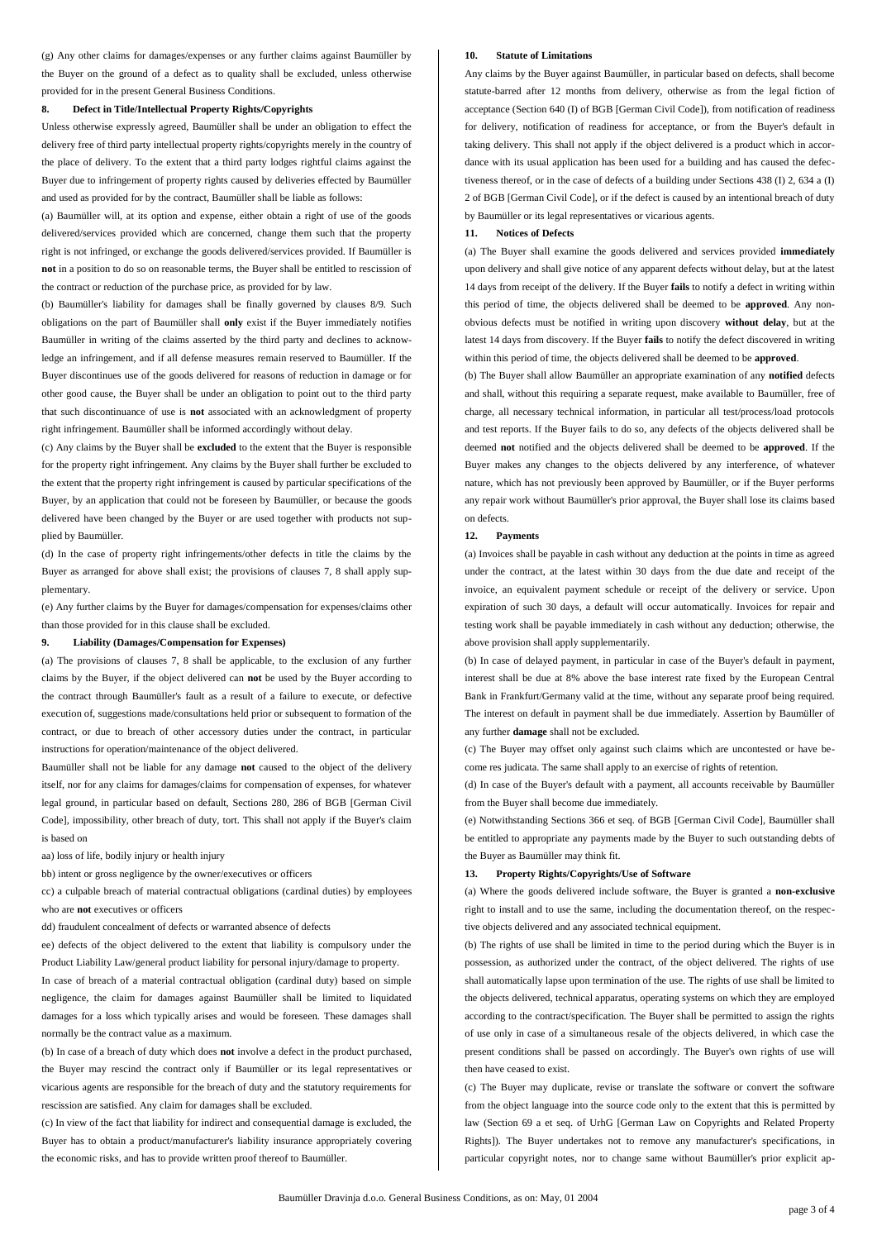(g) Any other claims for damages/expenses or any further claims against Baumüller by the Buyer on the ground of a defect as to quality shall be excluded, unless otherwise provided for in the present General Business Conditions.

# **8. Defect in Title/Intellectual Property Rights/Copyrights**

Unless otherwise expressly agreed, Baumüller shall be under an obligation to effect the delivery free of third party intellectual property rights/copyrights merely in the country of the place of delivery. To the extent that a third party lodges rightful claims against the Buyer due to infringement of property rights caused by deliveries effected by Baumüller and used as provided for by the contract, Baumüller shall be liable as follows:

(a) Baumüller will, at its option and expense, either obtain a right of use of the goods delivered/services provided which are concerned, change them such that the property right is not infringed, or exchange the goods delivered/services provided. If Baumüller is **not** in a position to do so on reasonable terms, the Buyer shall be entitled to rescission of the contract or reduction of the purchase price, as provided for by law.

(b) Baumüller's liability for damages shall be finally governed by clauses 8/9. Such obligations on the part of Baumüller shall **only** exist if the Buyer immediately notifies Baumüller in writing of the claims asserted by the third party and declines to acknowledge an infringement, and if all defense measures remain reserved to Baumüller. If the Buyer discontinues use of the goods delivered for reasons of reduction in damage or for other good cause, the Buyer shall be under an obligation to point out to the third party that such discontinuance of use is **not** associated with an acknowledgment of property right infringement. Baumüller shall be informed accordingly without delay.

(c) Any claims by the Buyer shall be **excluded** to the extent that the Buyer is responsible for the property right infringement. Any claims by the Buyer shall further be excluded to the extent that the property right infringement is caused by particular specifications of the Buyer, by an application that could not be foreseen by Baumüller, or because the goods delivered have been changed by the Buyer or are used together with products not supplied by Baumüller.

(d) In the case of property right infringements/other defects in title the claims by the Buyer as arranged for above shall exist; the provisions of clauses 7, 8 shall apply supplementary.

(e) Any further claims by the Buyer for damages/compensation for expenses/claims other than those provided for in this clause shall be excluded.

#### **9. Liability (Damages/Compensation for Expenses)**

(a) The provisions of clauses 7, 8 shall be applicable, to the exclusion of any further claims by the Buyer, if the object delivered can **not** be used by the Buyer according to the contract through Baumüller's fault as a result of a failure to execute, or defective execution of, suggestions made/consultations held prior or subsequent to formation of the contract, or due to breach of other accessory duties under the contract, in particular instructions for operation/maintenance of the object delivered.

Baumüller shall not be liable for any damage **not** caused to the object of the delivery itself, nor for any claims for damages/claims for compensation of expenses, for whatever legal ground, in particular based on default, Sections 280, 286 of BGB [German Civil Codel, impossibility, other breach of duty, tort. This shall not apply if the Buyer's claim is based on

aa) loss of life, bodily injury or health injury

bb) intent or gross negligence by the owner/executives or officers

cc) a culpable breach of material contractual obligations (cardinal duties) by employees who are **not** executives or officers

dd) fraudulent concealment of defects or warranted absence of defects

ee) defects of the object delivered to the extent that liability is compulsory under the Product Liability Law/general product liability for personal injury/damage to property.

In case of breach of a material contractual obligation (cardinal duty) based on simple negligence, the claim for damages against Baumüller shall be limited to liquidated damages for a loss which typically arises and would be foreseen. These damages shall normally be the contract value as a maximum.

(b) In case of a breach of duty which does **not** involve a defect in the product purchased, the Buyer may rescind the contract only if Baumüller or its legal representatives or vicarious agents are responsible for the breach of duty and the statutory requirements for rescission are satisfied. Any claim for damages shall be excluded.

(c) In view of the fact that liability for indirect and consequential damage is excluded, the Buyer has to obtain a product/manufacturer's liability insurance appropriately covering the economic risks, and has to provide written proof thereof to Baumüller.

#### **10. Statute of Limitations**

Any claims by the Buyer against Baumüller, in particular based on defects, shall become statute-barred after 12 months from delivery, otherwise as from the legal fiction of acceptance (Section 640 (I) of BGB [German Civil Code]), from notification of readiness for delivery, notification of readiness for acceptance, or from the Buyer's default in taking delivery. This shall not apply if the object delivered is a product which in accordance with its usual application has been used for a building and has caused the defectiveness thereof, or in the case of defects of a building under Sections 438 (I) 2, 634 a (I) 2 of BGB [German Civil Code], or if the defect is caused by an intentional breach of duty by Baumüller or its legal representatives or vicarious agents.

#### **11. Notices of Defects**

(a) The Buyer shall examine the goods delivered and services provided **immediately** upon delivery and shall give notice of any apparent defects without delay, but at the latest 14 days from receipt of the delivery. If the Buyer **fails** to notify a defect in writing within this period of time, the objects delivered shall be deemed to be **approved**. Any nonobvious defects must be notified in writing upon discovery **without delay**, but at the latest 14 days from discovery. If the Buyer **fails** to notify the defect discovered in writing within this period of time, the objects delivered shall be deemed to be **approved**.

(b) The Buyer shall allow Baumüller an appropriate examination of any **notified** defects and shall, without this requiring a separate request, make available to Baumüller, free of charge, all necessary technical information, in particular all test/process/load protocols and test reports. If the Buyer fails to do so, any defects of the objects delivered shall be deemed **not** notified and the objects delivered shall be deemed to be **approved**. If the Buyer makes any changes to the objects delivered by any interference, of whatever nature, which has not previously been approved by Baumüller, or if the Buyer performs any repair work without Baumüller's prior approval, the Buyer shall lose its claims based on defects.

#### **12. Payments**

(a) Invoices shall be payable in cash without any deduction at the points in time as agreed under the contract, at the latest within 30 days from the due date and receipt of the invoice, an equivalent payment schedule or receipt of the delivery or service. Upon expiration of such 30 days, a default will occur automatically. Invoices for repair and testing work shall be payable immediately in cash without any deduction; otherwise, the above provision shall apply supplementarily.

(b) In case of delayed payment, in particular in case of the Buyer's default in payment, interest shall be due at 8% above the base interest rate fixed by the European Central Bank in Frankfurt/Germany valid at the time, without any separate proof being required. The interest on default in payment shall be due immediately. Assertion by Baumüller of any further **damage** shall not be excluded.

(c) The Buyer may offset only against such claims which are uncontested or have become res judicata. The same shall apply to an exercise of rights of retention.

(d) In case of the Buyer's default with a payment, all accounts receivable by Baumüller from the Buyer shall become due immediately.

(e) Notwithstanding Sections 366 et seq. of BGB [German Civil Code], Baumüller shall be entitled to appropriate any payments made by the Buyer to such outstanding debts of the Buyer as Baumüller may think fit.

## **13. Property Rights/Copyrights/Use of Software**

(a) Where the goods delivered include software, the Buyer is granted a **non-exclusive** right to install and to use the same, including the documentation thereof, on the respective objects delivered and any associated technical equipment.

(b) The rights of use shall be limited in time to the period during which the Buyer is in possession, as authorized under the contract, of the object delivered. The rights of use shall automatically lapse upon termination of the use. The rights of use shall be limited to the objects delivered, technical apparatus, operating systems on which they are employed according to the contract/specification. The Buyer shall be permitted to assign the rights of use only in case of a simultaneous resale of the objects delivered, in which case the present conditions shall be passed on accordingly. The Buyer's own rights of use will then have ceased to exist.

(c) The Buyer may duplicate, revise or translate the software or convert the software from the object language into the source code only to the extent that this is permitted by law (Section 69 a et seq. of UrhG [German Law on Copyrights and Related Property Rights]). The Buyer undertakes not to remove any manufacturer's specifications, in particular copyright notes, nor to change same without Baumüller's prior explicit ap